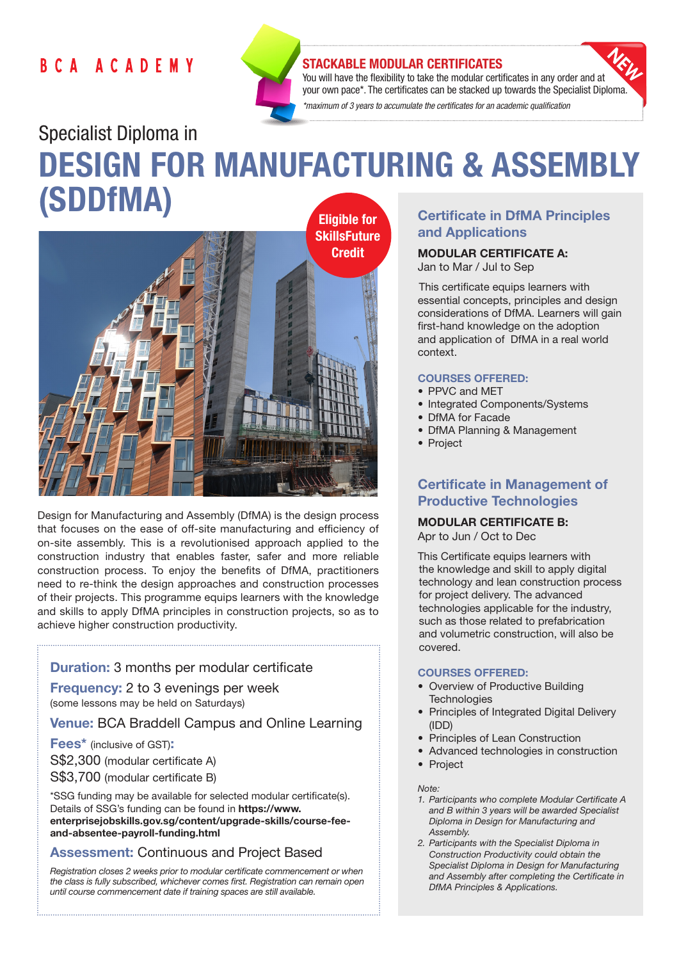# BCA ACADEMY



## STACKABLE MODULAR CERTIFICATES

You will have the flexibility to take the modular certificates in any order and at your own pace\*. The certificates can be stacked up towards the Specialist Diploma. *\*maximum of 3 years to accumulate the certificates for an academic qualification* 

# Specialist Diploma in DESIGN FOR MANUFACTURING & ASSEMBLY (SDDfMA)



Design for Manufacturing and Assembly (DfMA) is the design process that focuses on the ease of off-site manufacturing and efficiency of on-site assembly. This is a revolutionised approach applied to the construction industry that enables faster, safer and more reliable construction process. To enjoy the benefits of DfMA, practitioners need to re-think the design approaches and construction processes of their projects. This programme equips learners with the knowledge and skills to apply DfMA principles in construction projects, so as to achieve higher construction productivity.

# Duration: 3 months per modular certificate

Frequency: 2 to 3 evenings per week (some lessons may be held on Saturdays)

Venue: BCA Braddell Campus and Online Learning

Fees\* (inclusive of GST): S\$2,300 (modular certificate A) S\$3,700 (modular certificate B)

\*SSG funding may be available for selected modular certificate(s). Details of SSG's funding can be found in https://www. enterprisejobskills.gov.sg/content/upgrade-skills/course-feeand-absentee-payroll-funding.html

# Assessment: Continuous and Project Based

*Registration closes 2 weeks prior to modular certificate commencement or when the class is fully subscribed, whichever comes first. Registration can remain open until course commencement date if training spaces are still available.*

# Certificate in DfMA Principles and Applications

# MODULAR CERTIFICATE A:

Jan to Mar / Jul to Sep

This certificate equips learners with essential concepts, principles and design considerations of DfMA. Learners will gain first-hand knowledge on the adoption and application of DfMA in a real world context.

#### COURSES OFFERED:

- PPVC and MET
- Integrated Components/Systems
- DfMA for Facade
- DfMA Planning & Management
- Project

# Certificate in Management of Productive Technologies

# MODULAR CERTIFICATE B:

Apr to Jun / Oct to Dec

This Certificate equips learners with the knowledge and skill to apply digital technology and lean construction process for project delivery. The advanced technologies applicable for the industry, such as those related to prefabrication and volumetric construction, will also be covered.

#### COURSES OFFERED:

- Overview of Productive Building **Technologies**
- Principles of Integrated Digital Delivery (IDD)
- Principles of Lean Construction
- Advanced technologies in construction
- Project

#### *Note:*

- *1. Participants who complete Modular Certificate A and B within 3 years will be awarded Specialist Diploma in Design for Manufacturing and Assembly.*
- *2. Participants with the Specialist Diploma in Construction Productivity could obtain the Specialist Diploma in Design for Manufacturing and Assembly after completing the Certificate in DfMA Principles & Applications.*